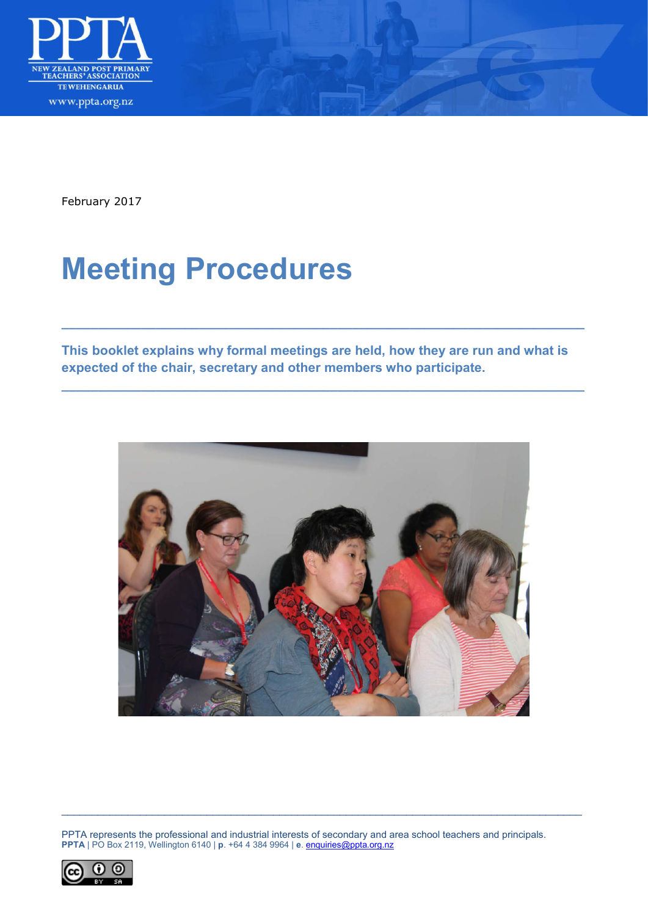

February 2017

# **Meeting Procedures**

**This booklet explains why formal meetings are held, how they are run and what is expected of the chair, secretary and other members who participate.** 

**\_\_\_\_\_\_\_\_\_\_\_\_\_\_\_\_\_\_\_\_\_\_\_\_\_\_\_\_\_\_\_\_\_\_\_\_\_\_\_\_\_\_\_\_\_\_\_\_\_\_\_\_\_\_\_\_\_\_\_\_\_\_\_\_\_\_\_\_\_\_\_\_**

**\_\_\_\_\_\_\_\_\_\_\_\_\_\_\_\_\_\_\_\_\_\_\_\_\_\_\_\_\_\_\_\_\_\_\_\_\_\_\_\_\_\_\_\_\_\_\_\_\_\_\_\_\_\_\_\_\_\_\_\_\_\_\_\_\_\_\_\_\_\_\_\_**



PPTA represents the professional and industrial interests of secondary and area school teachers and principals. **PPTA** | PO Box 2119, Wellington 6140 | **p**. +64 4 384 9964 | **e**. [enquiries@ppta.org.nz](mailto:enquiries@ppta.org.nz)

\_\_\_\_\_\_\_\_\_\_\_\_\_\_\_\_\_\_\_\_\_\_\_\_\_\_\_\_\_\_\_\_\_\_\_\_\_\_\_\_\_\_\_\_\_\_\_\_\_\_\_\_\_\_\_\_\_\_\_\_\_\_\_\_\_\_\_\_\_\_\_\_\_\_\_\_\_\_\_\_\_\_\_\_\_\_

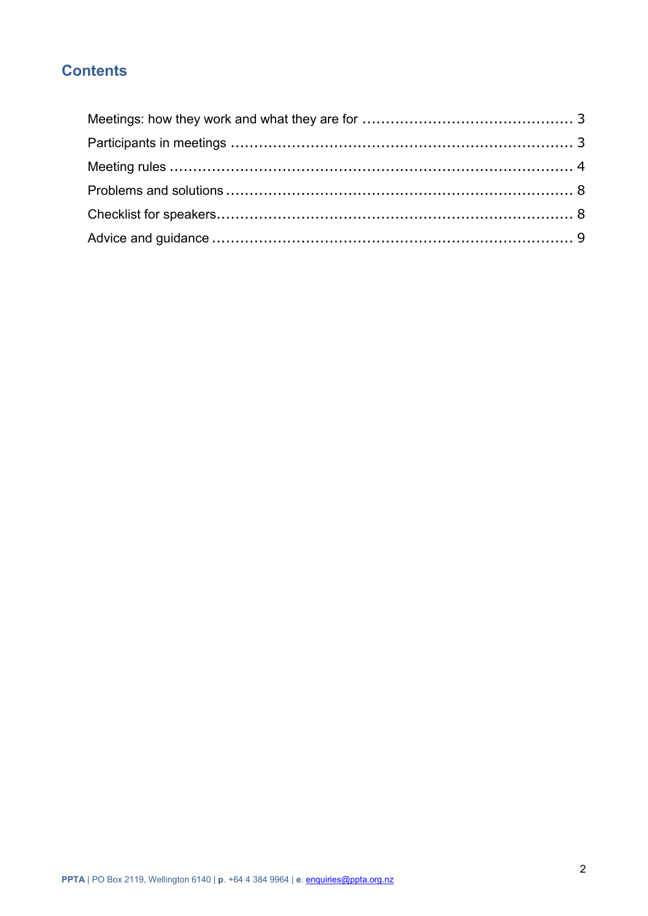# **Contents**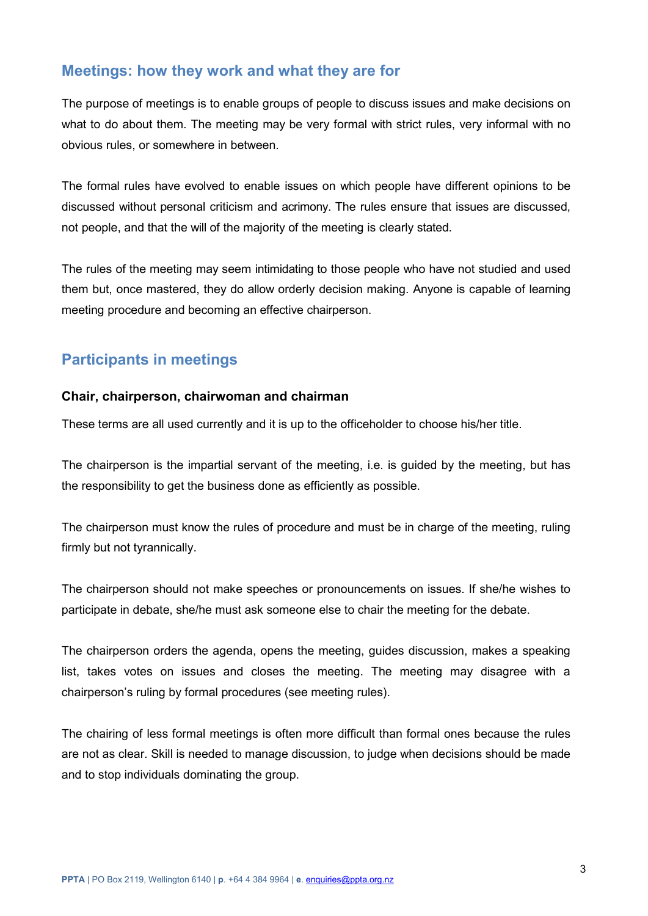# <span id="page-2-0"></span>**Meetings: how they work and what they are for**

The purpose of meetings is to enable groups of people to discuss issues and make decisions on what to do about them. The meeting may be very formal with strict rules, very informal with no obvious rules, or somewhere in between.

The formal rules have evolved to enable issues on which people have different opinions to be discussed without personal criticism and acrimony. The rules ensure that issues are discussed, not people, and that the will of the majority of the meeting is clearly stated.

The rules of the meeting may seem intimidating to those people who have not studied and used them but, once mastered, they do allow orderly decision making. Anyone is capable of learning meeting procedure and becoming an effective chairperson.

# <span id="page-2-1"></span>**Participants in meetings**

## **Chair, chairperson, chairwoman and chairman**

These terms are all used currently and it is up to the officeholder to choose his/her title.

The chairperson is the impartial servant of the meeting, i.e. is guided by the meeting, but has the responsibility to get the business done as efficiently as possible.

The chairperson must know the rules of procedure and must be in charge of the meeting, ruling firmly but not tyrannically.

The chairperson should not make speeches or pronouncements on issues. If she/he wishes to participate in debate, she/he must ask someone else to chair the meeting for the debate.

The chairperson orders the agenda, opens the meeting, guides discussion, makes a speaking list, takes votes on issues and closes the meeting. The meeting may disagree with a chairperson's ruling by formal procedures (see meeting rules).

The chairing of less formal meetings is often more difficult than formal ones because the rules are not as clear. Skill is needed to manage discussion, to judge when decisions should be made and to stop individuals dominating the group.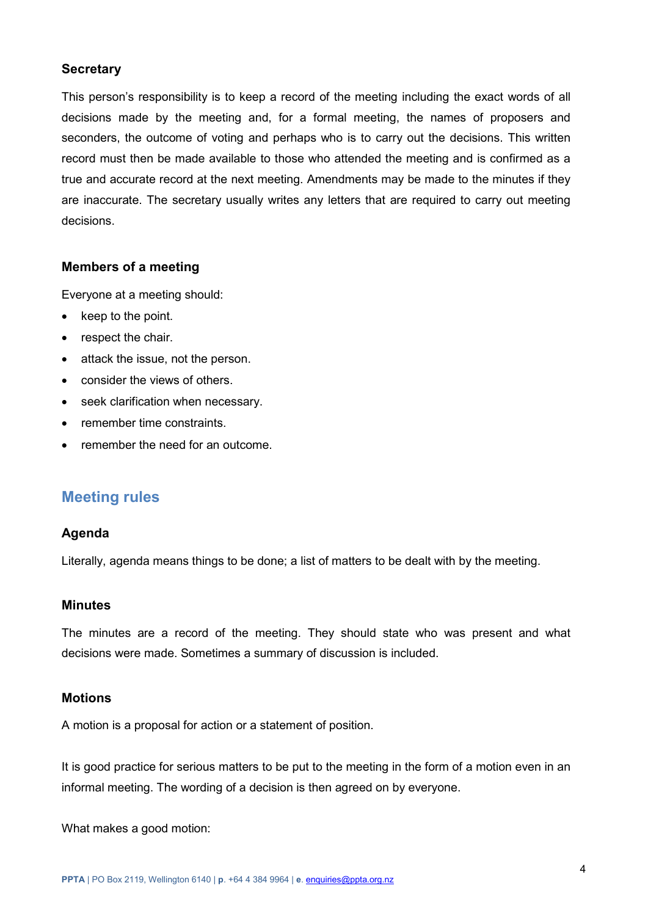## **Secretary**

This person's responsibility is to keep a record of the meeting including the exact words of all decisions made by the meeting and, for a formal meeting, the names of proposers and seconders, the outcome of voting and perhaps who is to carry out the decisions. This written record must then be made available to those who attended the meeting and is confirmed as a true and accurate record at the next meeting. Amendments may be made to the minutes if they are inaccurate. The secretary usually writes any letters that are required to carry out meeting decisions.

## **Members of a meeting**

Everyone at a meeting should:

- keep to the point.
- respect the chair.
- attack the issue, not the person.
- consider the views of others.
- seek clarification when necessary.
- remember time constraints.
- remember the need for an outcome.

## <span id="page-3-0"></span>**Meeting rules**

## **Agenda**

Literally, agenda means things to be done; a list of matters to be dealt with by the meeting.

## **Minutes**

The minutes are a record of the meeting. They should state who was present and what decisions were made. Sometimes a summary of discussion is included.

## **Motions**

A motion is a proposal for action or a statement of position.

It is good practice for serious matters to be put to the meeting in the form of a motion even in an informal meeting. The wording of a decision is then agreed on by everyone.

What makes a good motion: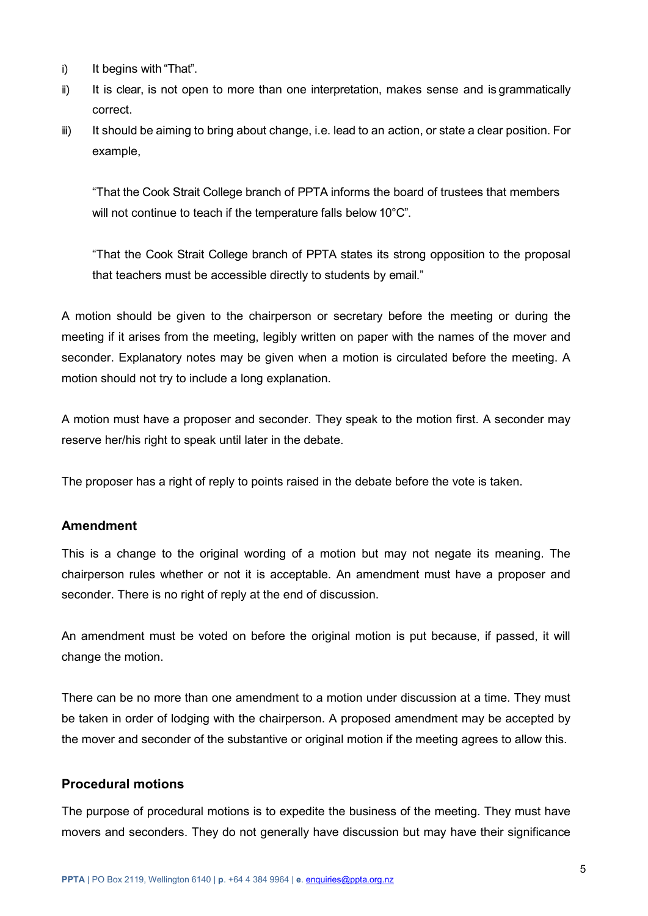- i) It begins with "That".
- ii) It is clear, is not open to more than one interpretation, makes sense and is grammatically correct.
- iii) It should be aiming to bring about change, i.e. lead to an action, or state a clear position. For example,

"That the Cook Strait College branch of PPTA informs the board of trustees that members will not continue to teach if the temperature falls below 10°C".

"That the Cook Strait College branch of PPTA states its strong opposition to the proposal that teachers must be accessible directly to students by email."

A motion should be given to the chairperson or secretary before the meeting or during the meeting if it arises from the meeting, legibly written on paper with the names of the mover and seconder. Explanatory notes may be given when a motion is circulated before the meeting. A motion should not try to include a long explanation.

A motion must have a proposer and seconder. They speak to the motion first. A seconder may reserve her/his right to speak until later in the debate.

The proposer has a right of reply to points raised in the debate before the vote is taken.

## **Amendment**

This is a change to the original wording of a motion but may not negate its meaning. The chairperson rules whether or not it is acceptable. An amendment must have a proposer and seconder. There is no right of reply at the end of discussion.

An amendment must be voted on before the original motion is put because, if passed, it will change the motion.

There can be no more than one amendment to a motion under discussion at a time. They must be taken in order of lodging with the chairperson. A proposed amendment may be accepted by the mover and seconder of the substantive or original motion if the meeting agrees to allow this.

## **Procedural motions**

The purpose of procedural motions is to expedite the business of the meeting. They must have movers and seconders. They do not generally have discussion but may have their significance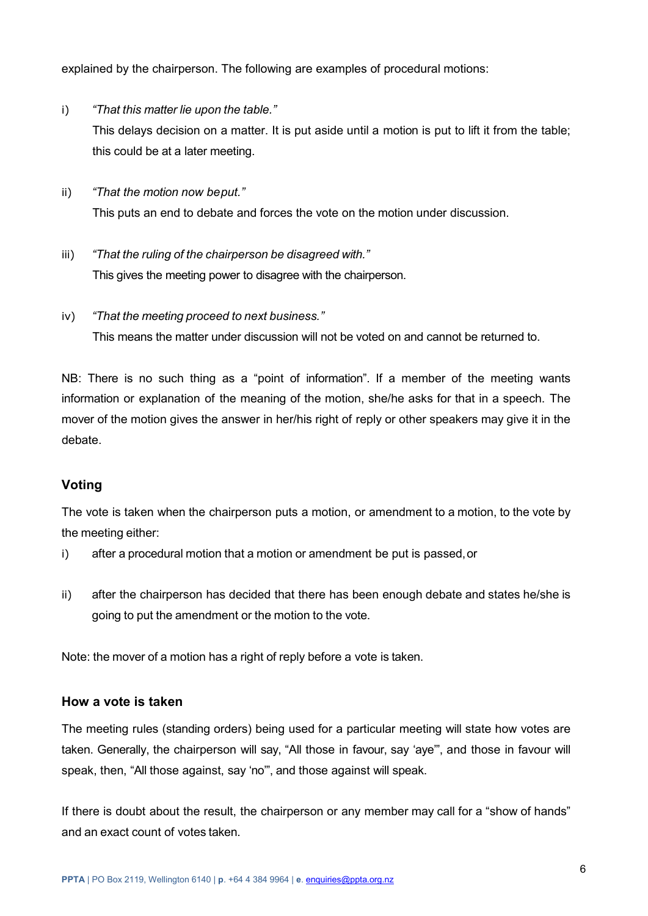explained by the chairperson. The following are examples of procedural motions:

- i) *"That this matter lie upon the table."* This delays decision on a matter. It is put aside until a motion is put to lift it from the table; this could be at a later meeting.
- ii) *"That the motion now beput."* This puts an end to debate and forces the vote on the motion under discussion.
- iii) *"That the ruling of the chairperson be disagreed with."* This gives the meeting power to disagree with the chairperson.
- iv) *"That the meeting proceed to next business."* This means the matter under discussion will not be voted on and cannot be returned to.

NB: There is no such thing as a "point of information". If a member of the meeting wants information or explanation of the meaning of the motion, she/he asks for that in a speech. The mover of the motion gives the answer in her/his right of reply or other speakers may give it in the debate.

## **Voting**

The vote is taken when the chairperson puts a motion, or amendment to a motion, to the vote by the meeting either:

- i) after a procedural motion that a motion or amendment be put is passed,or
- ii) after the chairperson has decided that there has been enough debate and states he/she is going to put the amendment or the motion to the vote.

Note: the mover of a motion has a right of reply before a vote is taken.

## **How a vote is taken**

The meeting rules (standing orders) being used for a particular meeting will state how votes are taken. Generally, the chairperson will say, "All those in favour, say 'aye'", and those in favour will speak, then, "All those against, say 'no'", and those against will speak.

If there is doubt about the result, the chairperson or any member may call for a "show of hands" and an exact count of votes taken.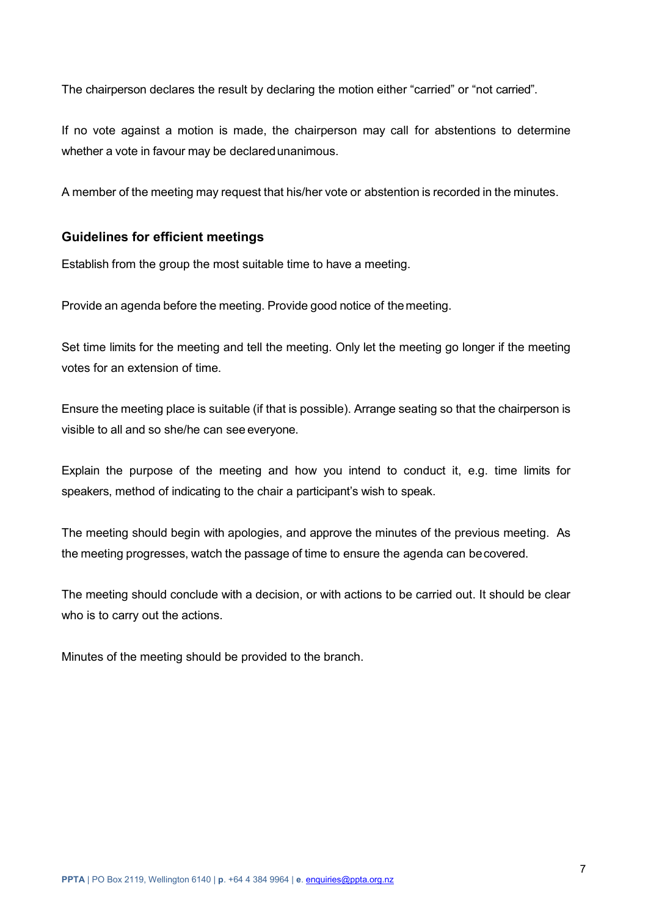The chairperson declares the result by declaring the motion either "carried" or "not carried".

If no vote against a motion is made, the chairperson may call for abstentions to determine whether a vote in favour may be declared unanimous.

A member of the meeting may request that his/her vote or abstention is recorded in the minutes.

## **Guidelines for efficient meetings**

Establish from the group the most suitable time to have a meeting.

Provide an agenda before the meeting. Provide good notice of themeeting.

Set time limits for the meeting and tell the meeting. Only let the meeting go longer if the meeting votes for an extension of time.

Ensure the meeting place is suitable (if that is possible). Arrange seating so that the chairperson is visible to all and so she/he can see everyone.

Explain the purpose of the meeting and how you intend to conduct it, e.g. time limits for speakers, method of indicating to the chair a participant's wish to speak.

The meeting should begin with apologies, and approve the minutes of the previous meeting. As the meeting progresses, watch the passage of time to ensure the agenda can be covered.

The meeting should conclude with a decision, or with actions to be carried out. It should be clear who is to carry out the actions.

Minutes of the meeting should be provided to the branch.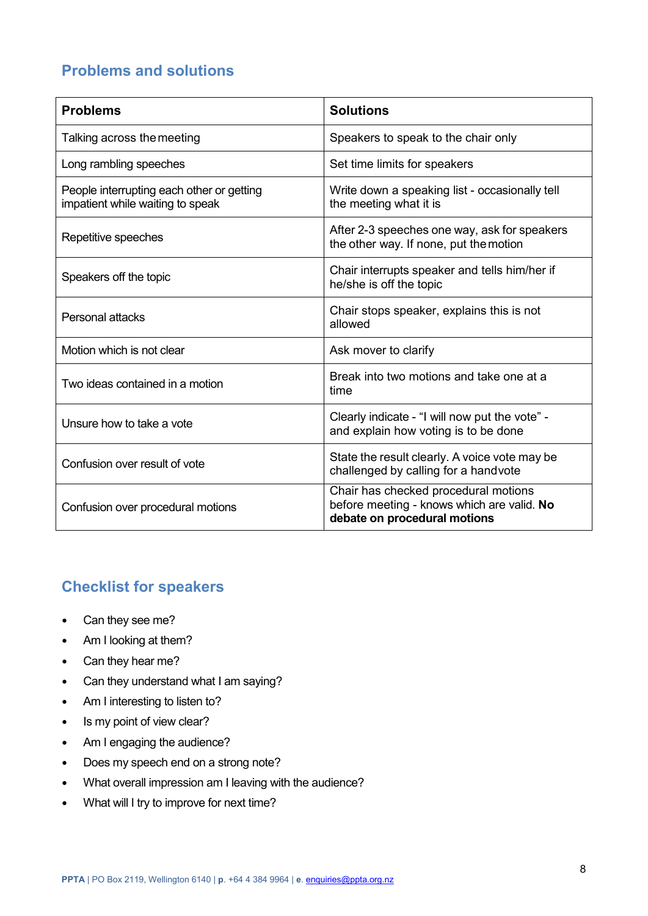# <span id="page-7-0"></span>**Problems and solutions**

| <b>Problems</b>                                                               | <b>Solutions</b>                                                                                                   |
|-------------------------------------------------------------------------------|--------------------------------------------------------------------------------------------------------------------|
| Talking across the meeting                                                    | Speakers to speak to the chair only                                                                                |
| Long rambling speeches                                                        | Set time limits for speakers                                                                                       |
| People interrupting each other or getting<br>impatient while waiting to speak | Write down a speaking list - occasionally tell<br>the meeting what it is                                           |
| Repetitive speeches                                                           | After 2-3 speeches one way, ask for speakers<br>the other way. If none, put the motion                             |
| Speakers off the topic                                                        | Chair interrupts speaker and tells him/her if<br>he/she is off the topic                                           |
| Personal attacks                                                              | Chair stops speaker, explains this is not<br>allowed                                                               |
| Motion which is not clear                                                     | Ask mover to clarify                                                                                               |
| Two ideas contained in a motion                                               | Break into two motions and take one at a<br>time                                                                   |
| Unsure how to take a vote                                                     | Clearly indicate - "I will now put the vote" -<br>and explain how voting is to be done                             |
| Confusion over result of vote                                                 | State the result clearly. A voice vote may be<br>challenged by calling for a handvote                              |
| Confusion over procedural motions                                             | Chair has checked procedural motions<br>before meeting - knows which are valid. No<br>debate on procedural motions |

# <span id="page-7-1"></span>**Checklist for speakers**

- Can they see me?
- Am I looking at them?
- Can they hear me?
- Can they understand what I am saying?
- Am I interesting to listen to?
- Is my point of view clear?
- Am I engaging the audience?
- Does my speech end on a strong note?
- What overall impression am I leaving with the audience?
- What will I try to improve for next time?